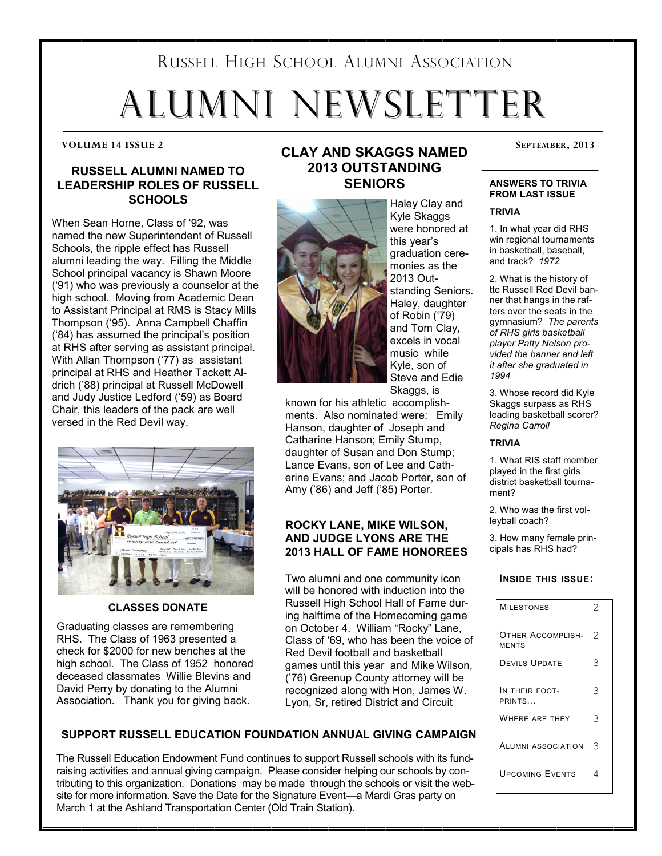# RUSSELL HIGH SCHOOL ALUMNI ASSOCIATION ALUMNI NEWSLETTER

# **RUSSELL ALUMNI NAMED TO LEADERSHIP ROLES OF RUSSELL SCHOOLS**

When Sean Horne, Class of '92, was named the new Superintendent of Russell Schools, the ripple effect has Russell alumni leading the way. Filling the Middle School principal vacancy is Shawn Moore ('91) who was previously a counselor at the high school. Moving from Academic Dean to Assistant Principal at RMS is Stacy Mills Thompson ('95). Anna Campbell Chaffin ('84) has assumed the principal's position at RHS after serving as assistant principal. With Allan Thompson ('77) as assistant principal at RHS and Heather Tackett Aldrich ('88) principal at Russell McDowell and Judy Justice Ledford ('59) as Board Chair, this leaders of the pack are well versed in the Red Devil way.



### **CLASSES DONATE**

Graduating classes are remembering RHS. The Class of 1963 presented a check for \$2000 for new benches at the high school. The Class of 1952 honored deceased classmates Willie Blevins and David Perry by donating to the Alumni Association. Thank you for giving back.

# **CLAY AND SKAGGS NAMED** SEPTEMBER, 2013 **2013 OUTSTANDING SENIORS**



Haley Clay and Kyle Skaggs were honored at this year's graduation ceremonies as the 2013 Outstanding Seniors. Haley, daughter of Robin ('79) and Tom Clay, excels in vocal music while Kyle, son of Steve and Edie Skaggs, is

known for his athletic accomplishments. Also nominated were: Emily Hanson, daughter of Joseph and Catharine Hanson; Emily Stump, daughter of Susan and Don Stump; Lance Evans, son of Lee and Catherine Evans; and Jacob Porter, son of Amy ('86) and Jeff ('85) Porter.

# **ROCKY LANE, MIKE WILSON, AND JUDGE LYONS ARE THE 2013 HALL OF FAME HONOREES**

Two alumni and one community icon will be honored with induction into the Russell High School Hall of Fame during halftime of the Homecoming game on October 4. William "Rocky" Lane, Class of '69, who has been the voice of Red Devil football and basketball games until this year and Mike Wilson, ('76) Greenup County attorney will be recognized along with Hon, James W. Lyon, Sr, retired District and Circuit

### **ANSWERS TO TRIVIA FROM LAST ISSUE**

#### **TRIVIA**

1. In what year did RHS win regional tournaments in basketball, baseball, and track? *1972*

2. What is the history of tte Russell Red Devil banner that hangs in the rafters over the seats in the gymnasium? *The parents of RHS girls basketball player Patty Nelson provided the banner and left it after she graduated in 1994*

3. Whose record did Kyle Skaggs surpass as RHS leading basketball scorer? *Regina Carroll*

#### **TRIVIA**

1. What RIS staff member played in the first girls district basketball tournament?

2. Who was the first volleyball coach?

3. How many female principals has RHS had?

#### **INSIDE THIS ISSUE:**

| <b>MILESTONES</b>                 | $\mathcal{D}$ |
|-----------------------------------|---------------|
| OTHER ACCOMPLISH-<br><b>MENTS</b> | 2             |
| <b>DEVILS UPDATE</b>              | 3             |
| In their foot-<br>PRINTS          | 3             |
| WHERE ARE THEY                    | 3             |
| <b>ALUMNI ASSOCIATION</b>         | 3             |
| <b>UPCOMING EVENTS</b>            | 4             |

# **SUPPORT RUSSELL EDUCATION FOUNDATION ANNUAL GIVING CAMPAIGN**

The Russell Education Endowment Fund continues to support Russell schools with its fundraising activities and annual giving campaign. Please consider helping our schools by contributing to this organization. Donations may be made through the schools or visit the website for more information. Save the Date for the Signature Event—a Mardi Gras party on March 1 at the Ashland Transportation Center (Old Train Station).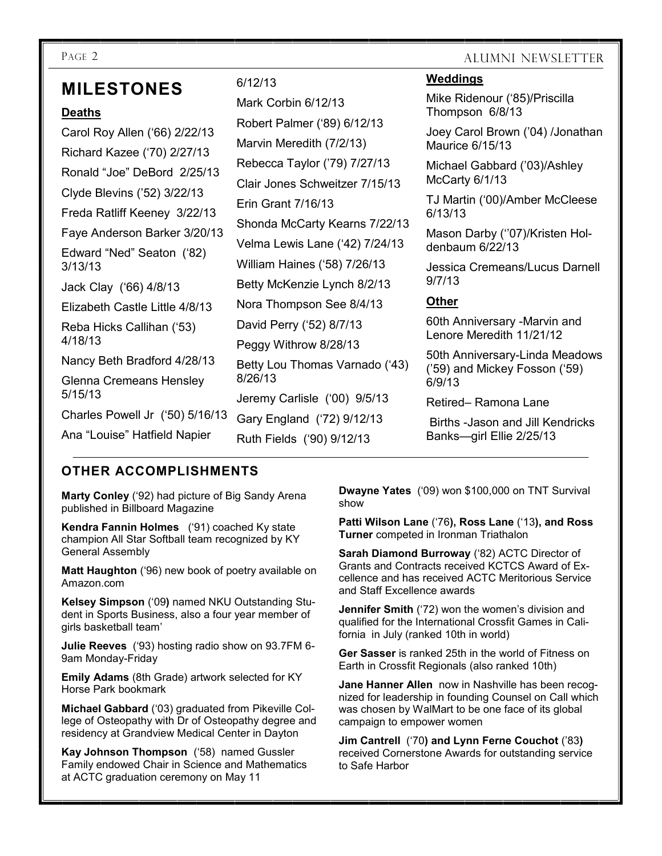PAGE 2 ALUMNI NEWSLETTER

# **MILESTONES**

### **Deaths**

Carol Roy Allen ('66) 2/22/13 Richard Kazee ('70) 2/27/13 Ronald "Joe" DeBord 2/25/13 Clyde Blevins ('52) 3/22/13 Freda Ratliff Keeney 3/22/13 Faye Anderson Barker 3/20/13 Edward "Ned" Seaton ('82) 3/13/13 Jack Clay ('66) 4/8/13 Elizabeth Castle Little 4/8/13 Reba Hicks Callihan ('53) 4/18/13 Nancy Beth Bradford 4/28/13 Glenna Cremeans Hensley 5/15/13 Charles Powell Jr ('50) 5/16/13 Ana "Louise" Hatfield Napier

# 6/12/13

Mark Corbin 6/12/13 Robert Palmer ('89) 6/12/13 Marvin Meredith (7/2/13) Rebecca Taylor ('79) 7/27/13 Clair Jones Schweitzer 7/15/13 Erin Grant 7/16/13 Shonda McCarty Kearns 7/22/13 Velma Lewis Lane ('42) 7/24/13 William Haines ('58) 7/26/13 Betty McKenzie Lynch 8/2/13 Nora Thompson See 8/4/13 David Perry ('52) 8/7/13 Peggy Withrow 8/28/13 Betty Lou Thomas Varnado ('43) 8/26/13 Jeremy Carlisle ('00) 9/5/13 Gary England ('72) 9/12/13 Ruth Fields ('90) 9/12/13

# **Weddings**

Mike Ridenour ('85)/Priscilla Thompson 6/8/13

Joey Carol Brown ('04) /Jonathan Maurice 6/15/13

Michael Gabbard ('03)/Ashley McCarty 6/1/13

TJ Martin ('00)/Amber McCleese 6/13/13

Mason Darby ("07)/Kristen Holdenbaum 6/22/13

Jessica Cremeans/Lucus Darnell 9/7/13

# **Other**

60th Anniversary -Marvin and Lenore Meredith 11/21/12

50th Anniversary-Linda Meadows ('59) and Mickey Fosson ('59) 6/9/13

Retired– Ramona Lane

Births -Jason and Jill Kendricks Banks—girl Ellie 2/25/13

# **OTHER ACCOMPLISHMENTS**

**Marty Conley** ('92) had picture of Big Sandy Arena published in Billboard Magazine

**Kendra Fannin Holmes** ('91) coached Ky state champion All Star Softball team recognized by KY General Assembly

**Matt Haughton** ('96) new book of poetry available on Amazon.com

**Kelsey Simpson** ('09**)** named NKU Outstanding Student in Sports Business, also a four year member of girls basketball team'

**Julie Reeves** ('93) hosting radio show on 93.7FM 6- 9am Monday-Friday

**Emily Adams** (8th Grade) artwork selected for KY Horse Park bookmark

**Michael Gabbard** ('03) graduated from Pikeville College of Osteopathy with Dr of Osteopathy degree and residency at Grandview Medical Center in Dayton

**Kay Johnson Thompson** ('58) named Gussler Family endowed Chair in Science and Mathematics at ACTC graduation ceremony on May 11

**Dwayne Yates** ('09) won \$100,000 on TNT Survival show

**Patti Wilson Lane** ('76**), Ross Lane** ('13**), and Ross Turner** competed in Ironman Triathalon

**Sarah Diamond Burroway** ('82) ACTC Director of Grants and Contracts received KCTCS Award of Excellence and has received ACTC Meritorious Service and Staff Excellence awards

**Jennifer Smith** ('72) won the women's division and qualified for the International Crossfit Games in California in July (ranked 10th in world)

**Ger Sasser** is ranked 25th in the world of Fitness on Earth in Crossfit Regionals (also ranked 10th)

**Jane Hanner Allen** now in Nashville has been recognized for leadership in founding Counsel on Call which was chosen by WalMart to be one face of its global campaign to empower women

**Jim Cantrell** ('70**) and Lynn Ferne Couchot** ('83**)**  received Cornerstone Awards for outstanding service to Safe Harbor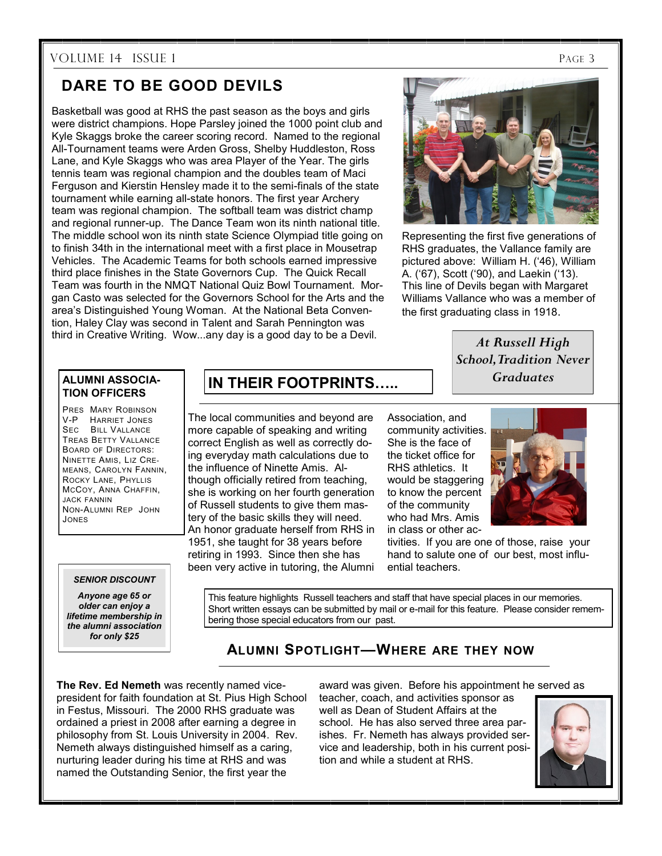# VOLUME 14 ISSUE 1 PAGE 3

# **DARE TO BE GOOD DEVILS**

Basketball was good at RHS the past season as the boys and girls were district champions. Hope Parsley joined the 1000 point club and Kyle Skaggs broke the career scoring record. Named to the regional All-Tournament teams were Arden Gross, Shelby Huddleston, Ross Lane, and Kyle Skaggs who was area Player of the Year. The girls tennis team was regional champion and the doubles team of Maci Ferguson and Kierstin Hensley made it to the semi-finals of the state tournament while earning all-state honors. The first year Archery team was regional champion. The softball team was district champ and regional runner-up. The Dance Team won its ninth national title. The middle school won its ninth state Science Olympiad title going on to finish 34th in the international meet with a first place in Mousetrap Vehicles. The Academic Teams for both schools earned impressive third place finishes in the State Governors Cup. The Quick Recall Team was fourth in the NMQT National Quiz Bowl Tournament. Morgan Casto was selected for the Governors School for the Arts and the area's Distinguished Young Woman. At the National Beta Convention, Haley Clay was second in Talent and Sarah Pennington was third in Creative Writing. Wow...any day is a good day to be a Devil.



Representing the first five generations of RHS graduates, the Vallance family are pictured above: William H. ('46), William A. ('67), Scott ('90), and Laekin ('13). This line of Devils began with Margaret Williams Vallance who was a member of the first graduating class in 1918.

# *At Russell High School, Tradition Never Graduates*

#### **ALUMNI ASSOCIA-TION OFFICERS**

PRES MARY ROBINSON V-P HARRIET JONES SEC BILL VALLANCE TREAS BETTY VALLANCE BOARD OF DIRECTORS: NINETTE AMIS, LIZ CRE-MEANS, CAROLYN FANNIN, ROCKY LANE, PHYLLIS MCCOY, ANNA CHAFFIN, JACK FANNIN NON-ALUMNI REP JOHN JONES

#### *SENIOR DISCOUNT*

*Anyone age 65 or older can enjoy a lifetime membership in the alumni association for only \$25*

# **IN THEIR FOOTPRINTS…..**

The local communities and beyond are more capable of speaking and writing correct English as well as correctly doing everyday math calculations due to the influence of Ninette Amis. Although officially retired from teaching, she is working on her fourth generation of Russell students to give them mastery of the basic skills they will need. An honor graduate herself from RHS in 1951, she taught for 38 years before retiring in 1993. Since then she has been very active in tutoring, the Alumni

Association, and community activities. She is the face of the ticket office for RHS athletics. It would be staggering to know the percent of the community who had Mrs. Amis in class or other ac-



tivities. If you are one of those, raise your hand to salute one of our best, most influential teachers.

This feature highlights Russell teachers and staff that have special places in our memories. Short written essays can be submitted by mail or e-mail for this feature. Please consider remembering those special educators from our past.

# **ALUMNI SPOTLIGHT—WHERE ARE THEY NOW**

**The Rev. Ed Nemeth** was recently named vicepresident for faith foundation at St. Pius High School in Festus, Missouri. The 2000 RHS graduate was ordained a priest in 2008 after earning a degree in philosophy from St. Louis University in 2004. Rev. Nemeth always distinguished himself as a caring, nurturing leader during his time at RHS and was named the Outstanding Senior, the first year the

award was given. Before his appointment he served as

teacher, coach, and activities sponsor as well as Dean of Student Affairs at the school. He has also served three area parishes. Fr. Nemeth has always provided service and leadership, both in his current position and while a student at RHS.